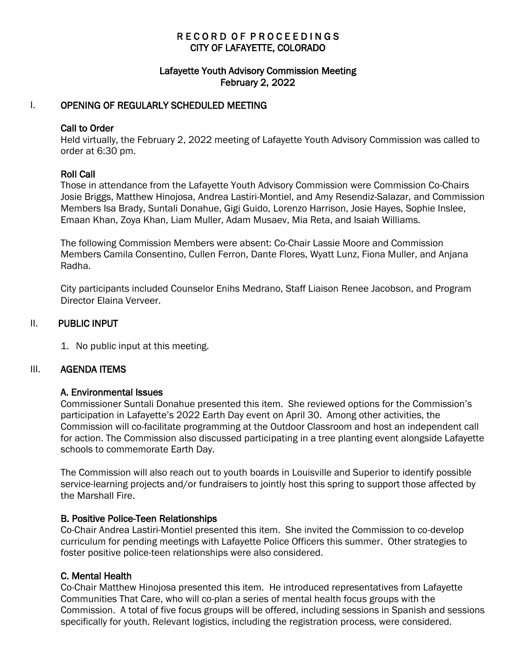# R E C O R D O F P R O C E E D I N G S CITY OF LAFAYETTE, COLORADO

## Lafayette Youth Advisory Commission Meeting February 2, 2022

## I. OPENING OF REGULARLY SCHEDULED MEETING

#### Call to Order

Held virtually, the February 2, 2022 meeting of Lafayette Youth Advisory Commission was called to order at 6:30 pm.

## Roll Call

Those in attendance from the Lafayette Youth Advisory Commission were Commission Co-Chairs Josie Briggs, Matthew Hinojosa, Andrea Lastiri-Montiel, and Amy Resendiz-Salazar, and Commission Members Isa Brady, Suntali Donahue, Gigi Guido, Lorenzo Harrison, Josie Hayes, Sophie Inslee, Emaan Khan, Zoya Khan, Liam Muller, Adam Musaev, Mia Reta, and Isaiah Williams.

The following Commission Members were absent: Co-Chair Lassie Moore and Commission Members Camila Consentino, Cullen Ferron, Dante Flores, Wyatt Lunz, Fiona Muller, and Anjana Radha.

City participants included Counselor Enihs Medrano, Staff Liaison Renee Jacobson, and Program Director Elaina Verveer.

## II. PUBLIC INPUT

1. No public input at this meeting.

#### III. AGENDA ITEMS

#### A. Environmental Issues

Commissioner Suntali Donahue presented this item. She reviewed options for the Commission's participation in Lafayette's 2022 Earth Day event on April 30. Among other activities, the Commission will co-facilitate programming at the Outdoor Classroom and host an independent call for action. The Commission also discussed participating in a tree planting event alongside Lafayette schools to commemorate Earth Day.

The Commission will also reach out to youth boards in Louisville and Superior to identify possible service-learning projects and/or fundraisers to jointly host this spring to support those affected by the Marshall Fire.

#### B. Positive Police-Teen Relationships

Co-Chair Andrea Lastiri-Montiel presented this item. She invited the Commission to co-develop curriculum for pending meetings with Lafayette Police Officers this summer. Other strategies to foster positive police-teen relationships were also considered.

#### C. Mental Health

Co-Chair Matthew Hinojosa presented this item. He introduced representatives from Lafayette Communities That Care, who will co-plan a series of mental health focus groups with the Commission. A total of five focus groups will be offered, including sessions in Spanish and sessions specifically for youth. Relevant logistics, including the registration process, were considered.